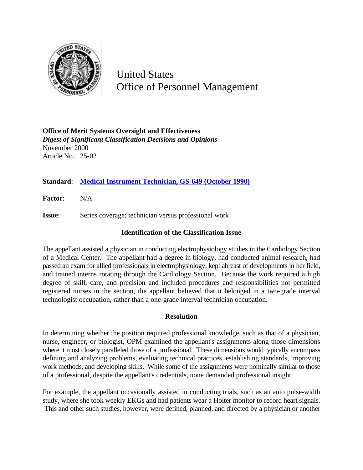

United States Office of Personnel Management

**Office of Merit Systems Oversight and Effectiveness** *Digest of Significant Classification Decisions and Opinions* November 2000 Article No. 25-02

# **Standard**: **Medical Instrument Technician, GS-649 (October 1990)**

**Factor**: N/A

**Issue**: Series coverage; technician versus professional work

### **Identification of the Classification Issue**

The appellant assisted a physician in conducting electrophysiology studies in the Cardiology Section of a Medical Center. The appellant had a degree in biology, had conducted animal research, had passed an exam for allied professionals in electrophysiology, kept abreast of developments in her field, and trained interns rotating through the Cardiology Section. Because the work required a high degree of skill, care, and precision and included procedures and responsibilities not permitted registered nurses in the section, the appellant believed that it belonged in a two-grade interval technologist occupation, rather than a one-grade interval technician occupation.

## **Resolution**

In determining whether the position required professional knowledge, such as that of a physician, nurse, engineer, or biologist, OPM examined the appellant's assignments along those dimensions where it most closely paralleled those of a professional. These dimensions would typically encompass defining and analyzing problems, evaluating technical practices, establishing standards, improving work methods, and developing skills. While some of the assignments were nominally similar to those of a professional, despite the appellant's credentials, none demanded professional insight.

For example, the appellant occasionally assisted in conducting trials, such as an auto pulse-width study, where she took weekly EKGs and had patients wear a Holter monitor to record heart signals. This and other such studies, however, were defined, planned, and directed by a physician or another